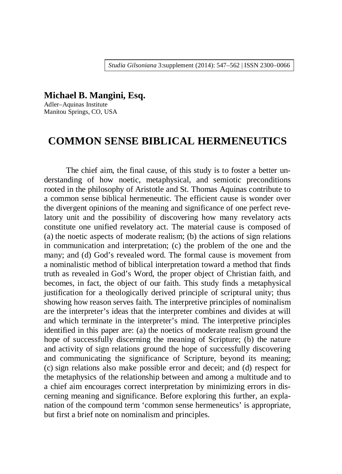**Michael B. Mangini, Esq.** 

Adler–Aquinas Institute Manitou Springs, CO, USA

# **COMMON SENSE BIBLICAL HERMENEUTICS**

The chief aim, the final cause, of this study is to foster a better understanding of how noetic, metaphysical, and semiotic preconditions rooted in the philosophy of Aristotle and St. Thomas Aquinas contribute to a common sense biblical hermeneutic. The efficient cause is wonder over the divergent opinions of the meaning and significance of one perfect revelatory unit and the possibility of discovering how many revelatory acts constitute one unified revelatory act. The material cause is composed of (a) the noetic aspects of moderate realism; (b) the actions of sign relations in communication and interpretation; (c) the problem of the one and the many; and (d) God's revealed word. The formal cause is movement from a nominalistic method of biblical interpretation toward a method that finds truth as revealed in God's Word, the proper object of Christian faith, and becomes, in fact, the object of our faith. This study finds a metaphysical justification for a theologically derived principle of scriptural unity; thus showing how reason serves faith. The interpretive principles of nominalism are the interpreter's ideas that the interpreter combines and divides at will and which terminate in the interpreter's mind. The interpretive principles identified in this paper are: (a) the noetics of moderate realism ground the hope of successfully discerning the meaning of Scripture; (b) the nature and activity of sign relations ground the hope of successfully discovering and communicating the significance of Scripture, beyond its meaning; (c) sign relations also make possible error and deceit; and (d) respect for the metaphysics of the relationship between and among a multitude and to a chief aim encourages correct interpretation by minimizing errors in discerning meaning and significance. Before exploring this further, an explanation of the compound term 'common sense hermeneutics' is appropriate, but first a brief note on nominalism and principles.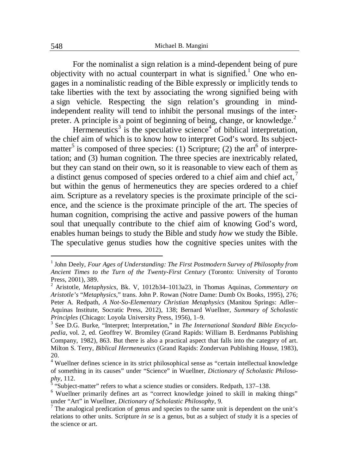For the nominalist a sign relation is a mind-dependent being of pure objectivity with no actual counterpart in what is signified.<sup>1</sup> One who engages in a nominalistic reading of the Bible expressly or implicitly tends to take liberties with the text by associating the wrong signified being with a sign vehicle. Respecting the sign relation's grounding in mindindependent reality will tend to inhibit the personal musings of the interpreter. A principle is a point of beginning of being, change, or knowledge.<sup>2</sup>

Hermeneutics<sup>3</sup> is the speculative science<sup>4</sup> of biblical interpretation, the chief aim of which is to know how to interpret God's word. Its subjectmatter<sup>5</sup> is composed of three species: (1) Scripture; (2) the art<sup>6</sup> of interpretation; and (3) human cognition. The three species are inextricably related, but they can stand on their own, so it is reasonable to view each of them as a distinct genus composed of species ordered to a chief aim and chief act,  $\overline{a}$ but within the genus of hermeneutics they are species ordered to a chief aim. Scripture as a revelatory species is the proximate principle of the science, and the science is the proximate principle of the art. The species of human cognition, comprising the active and passive powers of the human soul that unequally contribute to the chief aim of knowing God's word, enables human beings to study the Bible and study *how* we study the Bible. The speculative genus studies how the cognitive species unites with the

-

<sup>&</sup>lt;sup>1</sup> John Deely, *Four Ages of Understanding: The First Postmodern Survey of Philosophy from Ancient Times to the Turn of the Twenty-First Century* (Toronto: University of Toronto Press, 2001), 389.

<sup>2</sup> Aristotle, *Metaphysics*, Bk. V, 1012b34–1013a23, in Thomas Aquinas, *Commentary on Aristotle's* "*Metaphysics*," trans. John P. Rowan (Notre Dame: Dumb Ox Books, 1995), 276; Peter A. Redpath, *A Not-So-Elementary Christian Metaphysics* (Manitou Springs: Adler– Aquinas Institute, Socratic Press, 2012), 138; Bernard Wuellner, *Summary of Scholastic Principles* (Chicago: Loyola University Press, 1956), 1–9.

<sup>3</sup> See D.G. Burke, "Interpret; Interpretation," in *The International Standard Bible Encyclopedia*, vol. 2, ed. Geoffrey W. Bromiley (Grand Rapids: William B. Eerdmanns Publishing Company, 1982), 863. But there is also a practical aspect that falls into the category of art. Milton S. Terry, *Biblical Hermeneutics* (Grand Rapids: Zondervan Publishing House, 1983), 20.

<sup>&</sup>lt;sup>4</sup> Wuellner defines science in its strict philosophical sense as "certain intellectual knowledge of something in its causes" under "Science" in Wuellner, *Dictionary of Scholastic Philosophy*, 112. 5

 <sup>&</sup>quot;Subject-matter" refers to what a science studies or considers. Redpath, 137–138.

<sup>&</sup>lt;sup>6</sup> Wuellner primarily defines art as "correct knowledge joined to skill in making things" under "Art" in Wuellner, *Dictionary of Scholastic Philosophy*, 9.

 $<sup>7</sup>$  The analogical predication of genus and species to the same unit is dependent on the unit's</sup> relations to other units. Scripture *in se* is a genus, but as a subject of study it is a species of the science or art.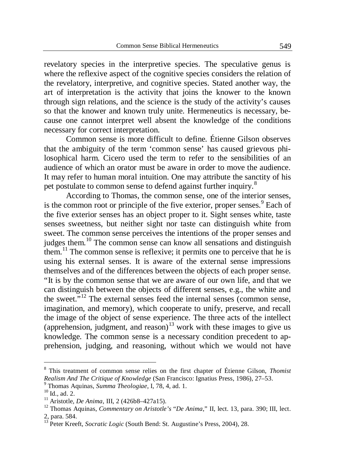revelatory species in the interpretive species. The speculative genus is where the reflexive aspect of the cognitive species considers the relation of the revelatory, interpretive, and cognitive species. Stated another way, the art of interpretation is the activity that joins the knower to the known through sign relations, and the science is the study of the activity's causes so that the knower and known truly unite. Hermeneutics is necessary, because one cannot interpret well absent the knowledge of the conditions necessary for correct interpretation.

Common sense is more difficult to define. Étienne Gilson observes that the ambiguity of the term 'common sense' has caused grievous philosophical harm. Cicero used the term to refer to the sensibilities of an audience of which an orator must be aware in order to move the audience. It may refer to human moral intuition. One may attribute the sanctity of his pet postulate to common sense to defend against further inquiry.<sup>8</sup>

According to Thomas, the common sense, one of the interior senses, is the common root or principle of the five exterior, proper senses.<sup>9</sup> Each of the five exterior senses has an object proper to it. Sight senses white, taste senses sweetness, but neither sight nor taste can distinguish white from sweet. The common sense perceives the intentions of the proper senses and judges them.<sup>10</sup> The common sense can know all sensations and distinguish them.<sup>11</sup> The common sense is reflexive; it permits one to perceive that he is using his external senses. It is aware of the external sense impressions themselves and of the differences between the objects of each proper sense. "It is by the common sense that we are aware of our own life, and that we can distinguish between the objects of different senses, e.g., the white and the sweet."<sup>12</sup> The external senses feed the internal senses (common sense, imagination, and memory), which cooperate to unify, preserve, and recall the image of the object of sense experience. The three acts of the intellect (apprehension, judgment, and reason)<sup>13</sup> work with these images to give us knowledge. The common sense is a necessary condition precedent to apprehension, judging, and reasoning, without which we would not have

<sup>8</sup> This treatment of common sense relies on the first chapter of Étienne Gilson, *Thomist Realism And The Critique of Knowledge* (San Francisco: Ignatius Press, 1986), 27–53.

<sup>9</sup> Thomas Aquinas, *Summa Theologiae*, I, 78, 4, ad. 1.

 $^{10}$  Id., ad. 2.

<sup>11</sup> Aristotle, *De Anima*, III, 2 (426b8–427a15).

<sup>12</sup> Thomas Aquinas, *Commentary on Aristotle's* "*De Anima*," II, lect. 13, para. 390; III, lect. 2, para. 584.

<sup>&</sup>lt;sup>13</sup> Peter Kreeft, *Socratic Logic* (South Bend: St. Augustine's Press, 2004), 28.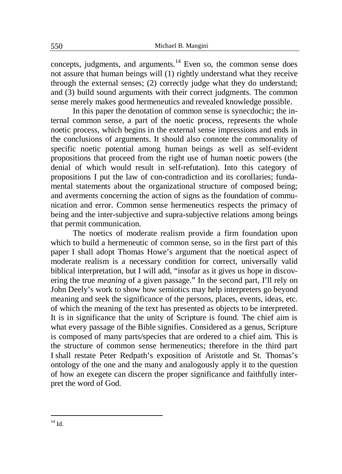concepts, judgments, and arguments.<sup>14</sup> Even so, the common sense does not assure that human beings will (1) rightly understand what they receive through the external senses; (2) correctly judge what they do understand; and (3) build sound arguments with their correct judgments. The common sense merely makes good hermeneutics and revealed knowledge possible.

In this paper the denotation of common sense is synecdochic; the internal common sense, a part of the noetic process, represents the whole noetic process, which begins in the external sense impressions and ends in the conclusions of arguments. It should also connote the commonality of specific noetic potential among human beings as well as self-evident propositions that proceed from the right use of human noetic powers (the denial of which would result in self-refutation). Into this category of propositions I put the law of con-contradiction and its corollaries; fundamental statements about the organizational structure of composed being; and averments concerning the action of signs as the foundation of communication and error. Common sense hermeneutics respects the primacy of being and the inter-subjective and supra-subjective relations among beings that permit communication.

The noetics of moderate realism provide a firm foundation upon which to build a hermeneutic of common sense, so in the first part of this paper I shall adopt Thomas Howe's argument that the noetical aspect of moderate realism is a necessary condition for correct, universally valid biblical interpretation, but I will add, "insofar as it gives us hope in discovering the true *meaning* of a given passage." In the second part, I'll rely on John Deely's work to show how semiotics may help interpreters go beyond meaning and seek the significance of the persons, places, events, ideas, etc. of which the meaning of the text has presented as objects to be interpreted. It is in significance that the unity of Scripture is found. The chief aim is what every passage of the Bible signifies. Considered as a genus, Scripture is composed of many parts/species that are ordered to a chief aim. This is the structure of common sense hermeneutics; therefore in the third part I shall restate Peter Redpath's exposition of Aristotle and St. Thomas's ontology of the one and the many and analogously apply it to the question of how an exegete can discern the proper significance and faithfully interpret the word of God.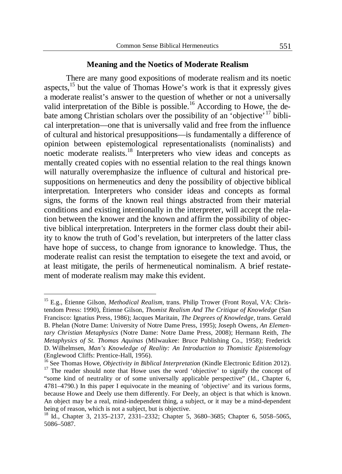### **Meaning and the Noetics of Moderate Realism**

There are many good expositions of moderate realism and its noetic aspects,<sup>15</sup> but the value of Thomas Howe's work is that it expressly gives a moderate realist's answer to the question of whether or not a universally valid interpretation of the Bible is possible.<sup>16</sup> According to Howe, the debate among Christian scholars over the possibility of an 'objective' <sup>17</sup> biblical interpretation—one that is universally valid and free from the influence of cultural and historical presuppositions—is fundamentally a difference of opinion between epistemological representationalists (nominalists) and noetic moderate realists.<sup>18</sup> Interpreters who view ideas and concepts as mentally created copies with no essential relation to the real things known will naturally overemphasize the influence of cultural and historical presuppositions on hermeneutics and deny the possibility of objective biblical interpretation. Interpreters who consider ideas and concepts as formal signs, the forms of the known real things abstracted from their material conditions and existing intentionally in the interpreter, will accept the relation between the knower and the known and affirm the possibility of objective biblical interpretation. Interpreters in the former class doubt their ability to know the truth of God's revelation, but interpreters of the latter class have hope of success, to change from ignorance to knowledge. Thus, the moderate realist can resist the temptation to eisegete the text and avoid, or at least mitigate, the perils of hermeneutical nominalism. A brief restatement of moderate realism may make this evident.

<sup>&</sup>lt;sup>15</sup> E.g., Étienne Gilson, *Methodical Realism*, trans. Philip Trower (Front Royal, VA: Christendom Press: 1990), Étienne Gilson, *Thomist Realism And The Critique of Knowledge* (San Francisco: Ignatius Press, 1986); Jacques Maritain, *The Degrees of Knowledge*, trans. Gerald B. Phelan (Notre Dame: University of Notre Dame Press, 1995); Joseph Owens, *An Elementary Christian Metaphysics* (Notre Dame: Notre Dame Press, 2008); Hermann Reith, *The Metaphysics of St. Thomas Aquinas* (Milwaukee: Bruce Publishing Co., 1958); Frederick D. Wilhelmsen, *Man's Knowledge of Reality: An Introduction to Thomistic Epistemology* (Englewood Cliffs: Prentice-Hall, 1956).

<sup>&</sup>lt;sup>16</sup> See Thomas Howe, *Objectivity in Biblical Interpretation* (Kindle Electronic Edition 2012).

<sup>&</sup>lt;sup>17</sup> The reader should note that Howe uses the word 'objective' to signify the concept of "some kind of neutrality or of some universally applicable perspective" (Id., Chapter 6, 4781–4790.) In this paper I equivocate in the meaning of 'objective' and its various forms, because Howe and Deely use them differently. For Deely, an object is that which is known. An object may be a real, mind-independent thing, a subject, or it may be a mind-dependent being of reason, which is not a subject, but is objective.

<sup>18</sup> Id., Chapter 3, 2135–2137, 2331–2332; Chapter 5, 3680–3685; Chapter 6, 5058–5065, 5086–5087.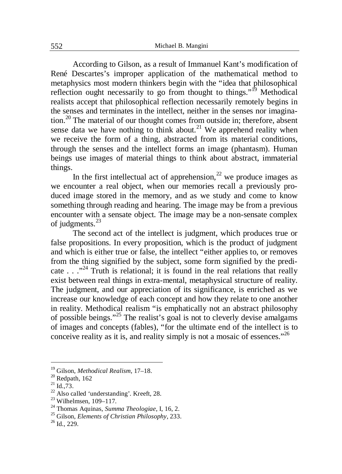According to Gilson, as a result of Immanuel Kant's modification of René Descartes's improper application of the mathematical method to metaphysics most modern thinkers begin with the "idea that philosophical reflection ought necessarily to go from thought to things."<sup>19</sup> Methodical realists accept that philosophical reflection necessarily remotely begins in the senses and terminates in the intellect, neither in the senses nor imagination.<sup>20</sup> The material of our thought comes from outside in; therefore, absent sense data we have nothing to think about.<sup>21</sup> We apprehend reality when we receive the form of a thing, abstracted from its material conditions, through the senses and the intellect forms an image (phantasm). Human beings use images of material things to think about abstract, immaterial things.

In the first intellectual act of apprehension.<sup>22</sup> we produce images as we encounter a real object, when our memories recall a previously produced image stored in the memory, and as we study and come to know something through reading and hearing. The image may be from a previous encounter with a sensate object. The image may be a non-sensate complex of judgments.<sup>23</sup>

The second act of the intellect is judgment, which produces true or false propositions. In every proposition, which is the product of judgment and which is either true or false, the intellect "either applies to, or removes from the thing signified by the subject, some form signified by the predicate  $\ldots$ <sup>24</sup> Truth is relational; it is found in the real relations that really exist between real things in extra-mental, metaphysical structure of reality. The judgment, and our appreciation of its significance, is enriched as we increase our knowledge of each concept and how they relate to one another in reality. Methodical realism "is emphatically not an abstract philosophy of possible beings."<sup>25</sup> The realist's goal is not to cleverly devise amalgams of images and concepts (fables), "for the ultimate end of the intellect is to conceive reality as it is, and reality simply is not a mosaic of essences."<sup>26</sup>

<sup>19</sup> Gilson, *Methodical Realism*, 17–18.

 $20$  Redpath, 162

 $^{21}$  Id., 73.

<sup>&</sup>lt;sup>22</sup> Also called 'understanding'. Kreeft, 28.

 $23$  Wilhelmsen, 109-117.

<sup>24</sup> Thomas Aquinas, *Summa Theologiae*, I, 16, 2.

<sup>25</sup> Gilson, *Elements of Christian Philosophy*, 233.

 $^{26}$  Id., 229.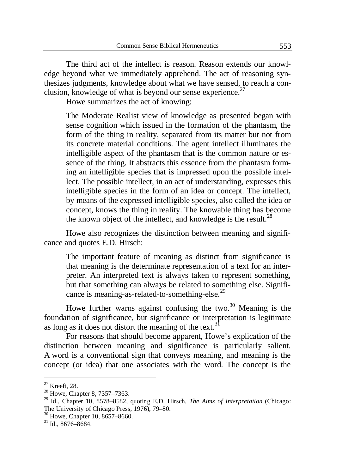The third act of the intellect is reason. Reason extends our knowledge beyond what we immediately apprehend. The act of reasoning synthesizes judgments, knowledge about what we have sensed, to reach a conclusion, knowledge of what is beyond our sense experience. $27$ 

Howe summarizes the act of knowing:

The Moderate Realist view of knowledge as presented began with sense cognition which issued in the formation of the phantasm, the form of the thing in reality, separated from its matter but not from its concrete material conditions. The agent intellect illuminates the intelligible aspect of the phantasm that is the common nature or essence of the thing. It abstracts this essence from the phantasm forming an intelligible species that is impressed upon the possible intellect. The possible intellect, in an act of understanding, expresses this intelligible species in the form of an idea or concept. The intellect, by means of the expressed intelligible species, also called the idea or concept, knows the thing in reality. The knowable thing has become the known object of the intellect, and knowledge is the result.<sup>28</sup>

Howe also recognizes the distinction between meaning and significance and quotes E.D. Hirsch:

The important feature of meaning as distinct from significance is that meaning is the determinate representation of a text for an interpreter. An interpreted text is always taken to represent something, but that something can always be related to something else. Significance is meaning-as-related-to-something-else.<sup>29</sup>

Howe further warns against confusing the two. $30$  Meaning is the foundation of significance, but significance or interpretation is legitimate as long as it does not distort the meaning of the text.<sup>31</sup>

For reasons that should become apparent, Howe's explication of the distinction between meaning and significance is particularly salient. A word is a conventional sign that conveys meaning, and meaning is the concept (or idea) that one associates with the word. The concept is the

 $27$  Kreeft, 28.

 $^{28}$  Howe, Chapter 8, 7357–7363.

<sup>29</sup> Id., Chapter 10, 8578–8582, quoting E.D. Hirsch, *The Aims of Interpretation* (Chicago: The University of Chicago Press, 1976), 79–80.

<sup>&</sup>lt;sup>30</sup> Howe, Chapter 10, 8657-8660.

<sup>31</sup> Id., 8676–8684.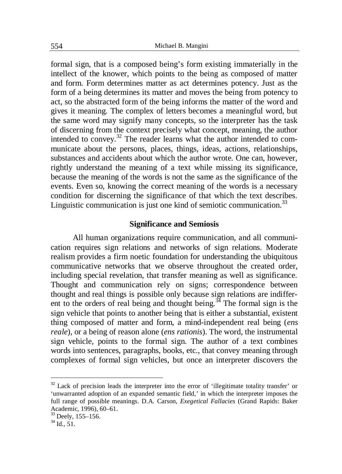formal sign, that is a composed being's form existing immaterially in the intellect of the knower, which points to the being as composed of matter and form. Form determines matter as act determines potency. Just as the form of a being determines its matter and moves the being from potency to act, so the abstracted form of the being informs the matter of the word and gives it meaning. The complex of letters becomes a meaningful word, but the same word may signify many concepts, so the interpreter has the task of discerning from the context precisely what concept, meaning, the author intended to convey.<sup>32</sup> The reader learns what the author intended to communicate about the persons, places, things, ideas, actions, relationships, substances and accidents about which the author wrote. One can, however, rightly understand the meaning of a text while missing its significance, because the meaning of the words is not the same as the significance of the events. Even so, knowing the correct meaning of the words is a necessary condition for discerning the significance of that which the text describes. Linguistic communication is just one kind of semiotic communication.<sup>33</sup>

## **Significance and Semiosis**

All human organizations require communication, and all communication requires sign relations and networks of sign relations. Moderate realism provides a firm noetic foundation for understanding the ubiquitous communicative networks that we observe throughout the created order, including special revelation, that transfer meaning as well as significance. Thought and communication rely on signs; correspondence between thought and real things is possible only because sign relations are indifferent to the orders of real being and thought being.<sup>34</sup> The formal sign is the sign vehicle that points to another being that is either a substantial, existent thing composed of matter and form, a mind-independent real being (*ens reale*), or a being of reason alone (*ens rationis*). The word, the instrumental sign vehicle, points to the formal sign. The author of a text combines words into sentences, paragraphs, books, etc., that convey meaning through complexes of formal sign vehicles, but once an interpreter discovers the

 $32$  Lack of precision leads the interpreter into the error of 'illegitimate totality transfer' or 'unwarranted adoption of an expanded semantic field,' in which the interpreter imposes the full range of possible meanings. D.A. Carson, *Exegetical Fallacies* (Grand Rapids: Baker Academic, 1996), 60–61.

<sup>33</sup> Deely, 155–156.

 $34$  Id.,  $51$ .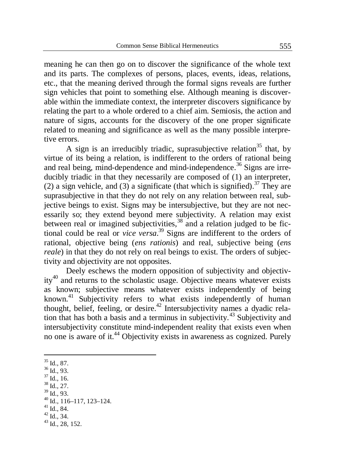meaning he can then go on to discover the significance of the whole text and its parts. The complexes of persons, places, events, ideas, relations, etc., that the meaning derived through the formal signs reveals are further sign vehicles that point to something else. Although meaning is discoverable within the immediate context, the interpreter discovers significance by relating the part to a whole ordered to a chief aim. Semiosis, the action and nature of signs, accounts for the discovery of the one proper significate related to meaning and significance as well as the many possible interpretive errors.

A sign is an irreducibly triadic, suprasubjective relation<sup>35</sup> that, by virtue of its being a relation, is indifferent to the orders of rational being and real being, mind-dependence and mind-independence.<sup>36</sup> Signs are irreducibly triadic in that they necessarily are composed of (1) an interpreter, (2) a sign vehicle, and (3) a significate (that which is signified).<sup>37</sup> They are suprasubjective in that they do not rely on any relation between real, subjective beings to exist. Signs may be intersubjective, but they are not necessarily so; they extend beyond mere subjectivity. A relation may exist between real or imagined subjectivities,<sup>38</sup> and a relation judged to be fictional could be real or *vice versa*. <sup>39</sup> Signs are indifferent to the orders of rational, objective being (*ens rationis*) and real, subjective being (*ens reale*) in that they do not rely on real beings to exist. The orders of subjectivity and objectivity are not opposites.

Deely eschews the modern opposition of subjectivity and objectivity<sup>40</sup> and returns to the scholastic usage. Objective means whatever exists as known; subjective means whatever exists independently of being known.<sup>41</sup> Subjectivity refers to what exists independently of human thought, belief, feeling, or desire.<sup>42</sup> Intersubjectivity names a dyadic relation that has both a basis and a terminus in subjectivity.<sup>43</sup> Subjectivity and intersubjectivity constitute mind-independent reality that exists even when no one is aware of it.<sup>44</sup> Objectivity exists in awareness as cognized. Purely

- $36$  Id., 93.
- $37 \overline{Id}$ ., 16.
- $38 \overline{1d}$ , 27.
- $39$  Id., 93.

- <sup>41</sup> Id., 84.
- $42$  Id., 34.

<sup>&</sup>lt;u>.</u>  $35$  Id., 87.

<sup>40</sup> Id., 116–117, 123–124.

<sup>43</sup> Id., 28, 152.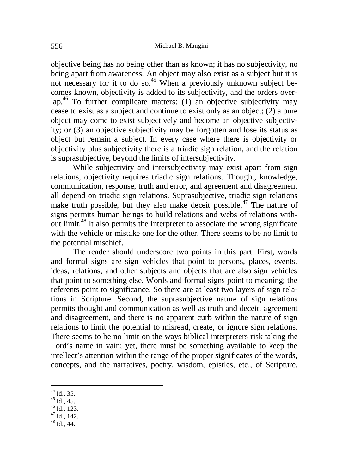objective being has no being other than as known; it has no subjectivity, no being apart from awareness. An object may also exist as a subject but it is not necessary for it to do so.<sup>45</sup> When a previously unknown subject becomes known, objectivity is added to its subjectivity, and the orders over- $\text{lap.}^{46}$  To further complicate matters: (1) an objective subjectivity may cease to exist as a subject and continue to exist only as an object; (2) a pure object may come to exist subjectively and become an objective subjectivity; or (3) an objective subjectivity may be forgotten and lose its status as object but remain a subject. In every case where there is objectivity or objectivity plus subjectivity there is a triadic sign relation, and the relation is suprasubjective, beyond the limits of intersubjectivity.

While subjectivity and intersubjectivity may exist apart from sign relations, objectivity requires triadic sign relations. Thought, knowledge, communication, response, truth and error, and agreement and disagreement all depend on triadic sign relations. Suprasubjective, triadic sign relations make truth possible, but they also make deceit possible.<sup>47</sup> The nature of signs permits human beings to build relations and webs of relations without limit.<sup>48</sup> It also permits the interpreter to associate the wrong significate with the vehicle or mistake one for the other. There seems to be no limit to the potential mischief.

The reader should underscore two points in this part. First, words and formal signs are sign vehicles that point to persons, places, events, ideas, relations, and other subjects and objects that are also sign vehicles that point to something else. Words and formal signs point to meaning; the referents point to significance. So there are at least two layers of sign relations in Scripture. Second, the suprasubjective nature of sign relations permits thought and communication as well as truth and deceit, agreement and disagreement, and there is no apparent curb within the nature of sign relations to limit the potential to misread, create, or ignore sign relations. There seems to be no limit on the ways biblical interpreters risk taking the Lord's name in vain; yet, there must be something available to keep the intellect's attention within the range of the proper significates of the words, concepts, and the narratives, poetry, wisdom, epistles, etc., of Scripture.

- $47 \overline{Id}$ , 142.
- $48$  Id., 44.

 $^{44}$  Id., 35.

 $45$  Id., 45.

 $46$  Id., 123.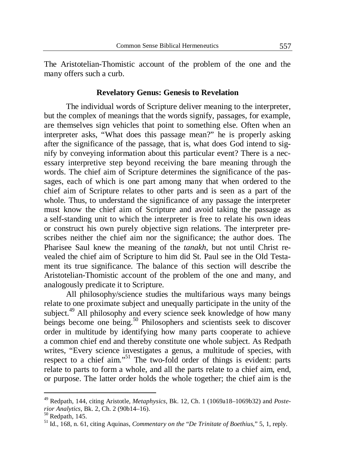The Aristotelian-Thomistic account of the problem of the one and the many offers such a curb.

### **Revelatory Genus: Genesis to Revelation**

The individual words of Scripture deliver meaning to the interpreter, but the complex of meanings that the words signify, passages, for example, are themselves sign vehicles that point to something else. Often when an interpreter asks, "What does this passage mean?" he is properly asking after the significance of the passage, that is, what does God intend to signify by conveying information about this particular event? There is a necessary interpretive step beyond receiving the bare meaning through the words. The chief aim of Scripture determines the significance of the passages, each of which is one part among many that when ordered to the chief aim of Scripture relates to other parts and is seen as a part of the whole. Thus, to understand the significance of any passage the interpreter must know the chief aim of Scripture and avoid taking the passage as a self-standing unit to which the interpreter is free to relate his own ideas or construct his own purely objective sign relations. The interpreter prescribes neither the chief aim nor the significance; the author does. The Pharisee Saul knew the meaning of the *tanakh*, but not until Christ revealed the chief aim of Scripture to him did St. Paul see in the Old Testament its true significance. The balance of this section will describe the Aristotelian-Thomistic account of the problem of the one and many, and analogously predicate it to Scripture.

All philosophy/science studies the multifarious ways many beings relate to one proximate subject and unequally participate in the unity of the subject.<sup>49</sup> All philosophy and every science seek knowledge of how many beings become one being.<sup>50</sup> Philosophers and scientists seek to discover order in multitude by identifying how many parts cooperate to achieve a common chief end and thereby constitute one whole subject. As Redpath writes, "Every science investigates a genus, a multitude of species, with respect to a chief aim."<sup>51</sup> The two-fold order of things is evident: parts relate to parts to form a whole, and all the parts relate to a chief aim, end, or purpose. The latter order holds the whole together; the chief aim is the

1

<sup>49</sup> Redpath, 144, citing Aristotle, *Metaphysics*, Bk. 12, Ch. 1 (1069a18–1069b32) and *Posterior Analytics*, Bk. 2, Ch. 2 (90b14–16).

 $50$  Redpath, 145.

<sup>51</sup> Id., 168, n. 61, citing Aquinas, *Commentary on the* "*De Trinitate of Boethius*," 5, 1, reply.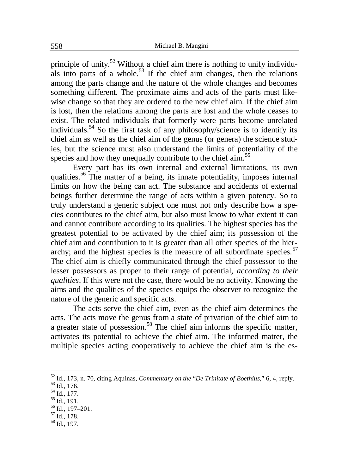principle of unity.<sup>52</sup> Without a chief aim there is nothing to unify individuals into parts of a whole.<sup>53</sup> If the chief aim changes, then the relations among the parts change and the nature of the whole changes and becomes something different. The proximate aims and acts of the parts must likewise change so that they are ordered to the new chief aim. If the chief aim is lost, then the relations among the parts are lost and the whole ceases to exist. The related individuals that formerly were parts become unrelated individuals.<sup>54</sup> So the first task of any philosophy/science is to identify its chief aim as well as the chief aim of the genus (or genera) the science studies, but the science must also understand the limits of potentiality of the species and how they unequally contribute to the chief aim.<sup>55</sup>

Every part has its own internal and external limitations, its own qualities.<sup>56</sup> The matter of a being, its innate potentiality, imposes internal limits on how the being can act. The substance and accidents of external beings further determine the range of acts within a given potency. So to truly understand a generic subject one must not only describe how a species contributes to the chief aim, but also must know to what extent it can and cannot contribute according to its qualities. The highest species has the greatest potential to be activated by the chief aim; its possession of the chief aim and contribution to it is greater than all other species of the hierarchy; and the highest species is the measure of all subordinate species.<sup>57</sup> The chief aim is chiefly communicated through the chief possessor to the lesser possessors as proper to their range of potential, *according to their qualities*. If this were not the case, there would be no activity. Knowing the aims and the qualities of the species equips the observer to recognize the nature of the generic and specific acts.

The acts serve the chief aim, even as the chief aim determines the acts. The acts move the genus from a state of privation of the chief aim to a greater state of possession.<sup>58</sup> The chief aim informs the specific matter, activates its potential to achieve the chief aim. The informed matter, the multiple species acting cooperatively to achieve the chief aim is the es-

1

<sup>52</sup> Id., 173, n. 70, citing Aquinas, *Commentary on the* "*De Trinitate of Boethius*," 6, 4, reply.

 $^{53}$  Id., 176.

 $^{54}$  Id., 177.

<sup>55</sup> Id., 191.

 $56$  Id., 197-201.

 $57 \overline{Id}$ ., 178.

<sup>58</sup> Id., 197.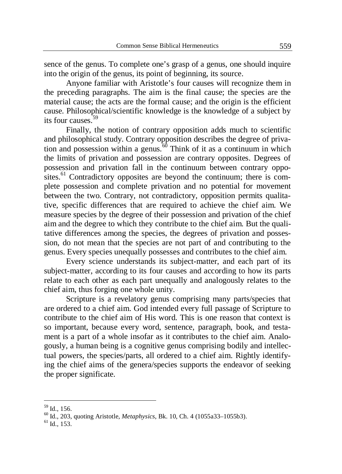sence of the genus. To complete one's grasp of a genus, one should inquire into the origin of the genus, its point of beginning, its source.

Anyone familiar with Aristotle's four causes will recognize them in the preceding paragraphs. The aim is the final cause; the species are the material cause; the acts are the formal cause; and the origin is the efficient cause. Philosophical/scientific knowledge is the knowledge of a subject by its four causes<sup>-59</sup>

Finally, the notion of contrary opposition adds much to scientific and philosophical study. Contrary opposition describes the degree of privation and possession within a genus. $\frac{60}{60}$  Think of it as a continuum in which the limits of privation and possession are contrary opposites. Degrees of possession and privation fall in the continuum between contrary opposites.<sup>61</sup> Contradictory opposites are beyond the continuum; there is complete possession and complete privation and no potential for movement between the two. Contrary, not contradictory, opposition permits qualitative, specific differences that are required to achieve the chief aim. We measure species by the degree of their possession and privation of the chief aim and the degree to which they contribute to the chief aim. But the qualitative differences among the species, the degrees of privation and possession, do not mean that the species are not part of and contributing to the genus. Every species unequally possesses and contributes to the chief aim.

Every science understands its subject-matter, and each part of its subject-matter, according to its four causes and according to how its parts relate to each other as each part unequally and analogously relates to the chief aim, thus forging one whole unity.

Scripture is a revelatory genus comprising many parts/species that are ordered to a chief aim. God intended every full passage of Scripture to contribute to the chief aim of His word. This is one reason that context is so important, because every word, sentence, paragraph, book, and testament is a part of a whole insofar as it contributes to the chief aim. Analogously, a human being is a cognitive genus comprising bodily and intellectual powers, the species/parts, all ordered to a chief aim. Rightly identifying the chief aims of the genera/species supports the endeavor of seeking the proper significate.

 $^{59}$  Id., 156.

<sup>60</sup> Id., 203, quoting Aristotle, *Metaphysics*, Bk. 10, Ch. 4 (1055a33–1055b3).

 $<sup>61</sup>$  Id., 153.</sup>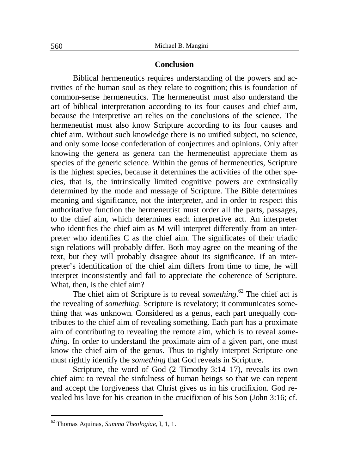### **Conclusion**

Biblical hermeneutics requires understanding of the powers and activities of the human soul as they relate to cognition; this is foundation of common-sense hermeneutics. The hermeneutist must also understand the art of biblical interpretation according to its four causes and chief aim, because the interpretive art relies on the conclusions of the science. The hermeneutist must also know Scripture according to its four causes and chief aim. Without such knowledge there is no unified subject, no science, and only some loose confederation of conjectures and opinions. Only after knowing the genera as genera can the hermeneutist appreciate them as species of the generic science. Within the genus of hermeneutics, Scripture is the highest species, because it determines the activities of the other species, that is, the intrinsically limited cognitive powers are extrinsically determined by the mode and message of Scripture. The Bible determines meaning and significance, not the interpreter, and in order to respect this authoritative function the hermeneutist must order all the parts, passages, to the chief aim, which determines each interpretive act. An interpreter who identifies the chief aim as M will interpret differently from an interpreter who identifies C as the chief aim. The significates of their triadic sign relations will probably differ. Both may agree on the meaning of the text, but they will probably disagree about its significance. If an interpreter's identification of the chief aim differs from time to time, he will interpret inconsistently and fail to appreciate the coherence of Scripture. What, then, is the chief aim?

The chief aim of Scripture is to reveal *something*. <sup>62</sup> The chief act is the revealing of *something*. Scripture is revelatory; it communicates something that was unknown. Considered as a genus, each part unequally contributes to the chief aim of revealing something. Each part has a proximate aim of contributing to revealing the remote aim, which is to reveal *something*. In order to understand the proximate aim of a given part, one must know the chief aim of the genus. Thus to rightly interpret Scripture one must rightly identify the *something* that God reveals in Scripture.

Scripture, the word of God (2 Timothy 3:14–17), reveals its own chief aim: to reveal the sinfulness of human beings so that we can repent and accept the forgiveness that Christ gives us in his crucifixion. God revealed his love for his creation in the crucifixion of his Son (John 3:16; cf.

1

<sup>62</sup> Thomas Aquinas, *Summa Theologiae*, I, 1, 1.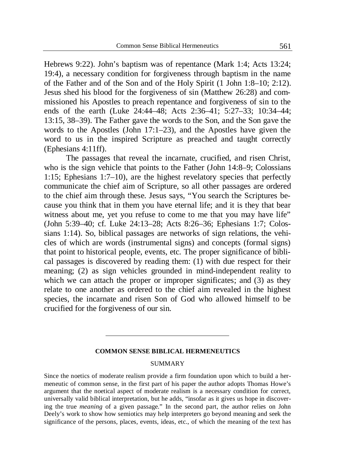Hebrews 9:22). John's baptism was of repentance (Mark 1:4; Acts 13:24; 19:4), a necessary condition for forgiveness through baptism in the name of the Father and of the Son and of the Holy Spirit (1 John 1:8–10; 2:12). Jesus shed his blood for the forgiveness of sin (Matthew 26:28) and commissioned his Apostles to preach repentance and forgiveness of sin to the ends of the earth (Luke 24:44–48; Acts 2:36–41; 5:27–33; 10:34–44; 13:15, 38–39). The Father gave the words to the Son, and the Son gave the words to the Apostles (John 17:1–23), and the Apostles have given the word to us in the inspired Scripture as preached and taught correctly (Ephesians 4:11ff).

The passages that reveal the incarnate, crucified, and risen Christ, who is the sign vehicle that points to the Father (John 14:8–9; Colossians 1:15; Ephesians 1:7–10), are the highest revelatory species that perfectly communicate the chief aim of Scripture, so all other passages are ordered to the chief aim through these. Jesus says, "You search the Scriptures because you think that in them you have eternal life; and it is they that bear witness about me, yet you refuse to come to me that you may have life" (John 5:39–40; cf. Luke 24:13–28; Acts 8:26–36; Ephesians 1:7; Colossians 1:14). So, biblical passages are networks of sign relations, the vehicles of which are words (instrumental signs) and concepts (formal signs) that point to historical people, events, etc. The proper significance of biblical passages is discovered by reading them: (1) with due respect for their meaning; (2) as sign vehicles grounded in mind-independent reality to which we can attach the proper or improper significates; and (3) as they relate to one another as ordered to the chief aim revealed in the highest species, the incarnate and risen Son of God who allowed himself to be crucified for the forgiveness of our sin.

#### **COMMON SENSE BIBLICAL HERMENEUTICS**

#### SUMMARY

Since the noetics of moderate realism provide a firm foundation upon which to build a hermeneutic of common sense, in the first part of his paper the author adopts Thomas Howe's argument that the noetical aspect of moderate realism is a necessary condition for correct, universally valid biblical interpretation, but he adds, "insofar as it gives us hope in discovering the true *meaning* of a given passage." In the second part, the author relies on John Deely's work to show how semiotics may help interpreters go beyond meaning and seek the significance of the persons, places, events, ideas, etc., of which the meaning of the text has